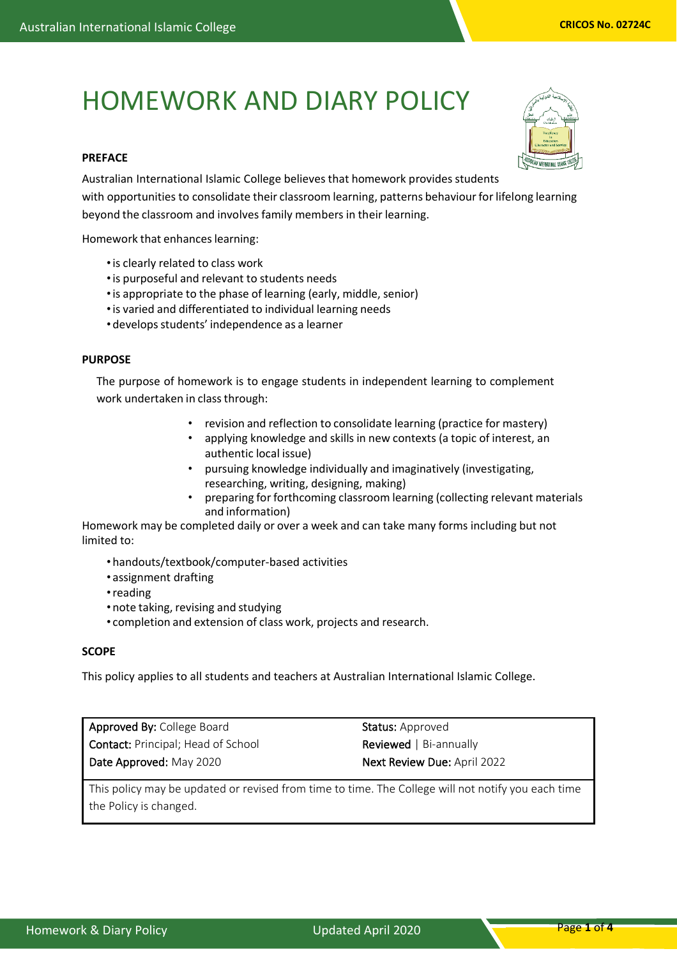# HOMEWORK AND DIARY POLICY

# **PREFACE**

Australian International Islamic College believes that homework provides students with opportunities to consolidate their classroom learning, patterns behaviour for lifelong learning beyond the classroom and involves family members in their learning.

Homework that enhances learning:

- •is clearly related to class work
- •is purposeful and relevant to students needs
- •is appropriate to the phase of learning (early, middle, senior)
- •is varied and differentiated to individual learning needs
- develops students' independence as a learner

# **PURPOSE**

The purpose of homework is to engage students in independent learning to complement work undertaken in classthrough:

- revision and reflection to consolidate learning (practice for mastery)
- applying knowledge and skills in new contexts (a topic of interest, an authentic local issue)
- pursuing knowledge individually and imaginatively (investigating, researching, writing, designing, making)
- preparing for forthcoming classroom learning (collecting relevant materials and information)

Homework may be completed daily or over a week and can take many forms including but not limited to:

- handouts/textbook/computer-based activities
- assignment drafting
- •reading
- note taking, revising and studying
- completion and extension of class work, projects and research.

# **SCOPE**

This policy applies to all students and teachers at Australian International Islamic College.

Approved By: College Board Contact: Principal; Head of School Date Approved: May 2020

Status: Approved Reviewed | Bi-annually Next Review Due: April 2022

This policy may be updated or revised from time to time. The College will not notify you each time the Policy is changed.



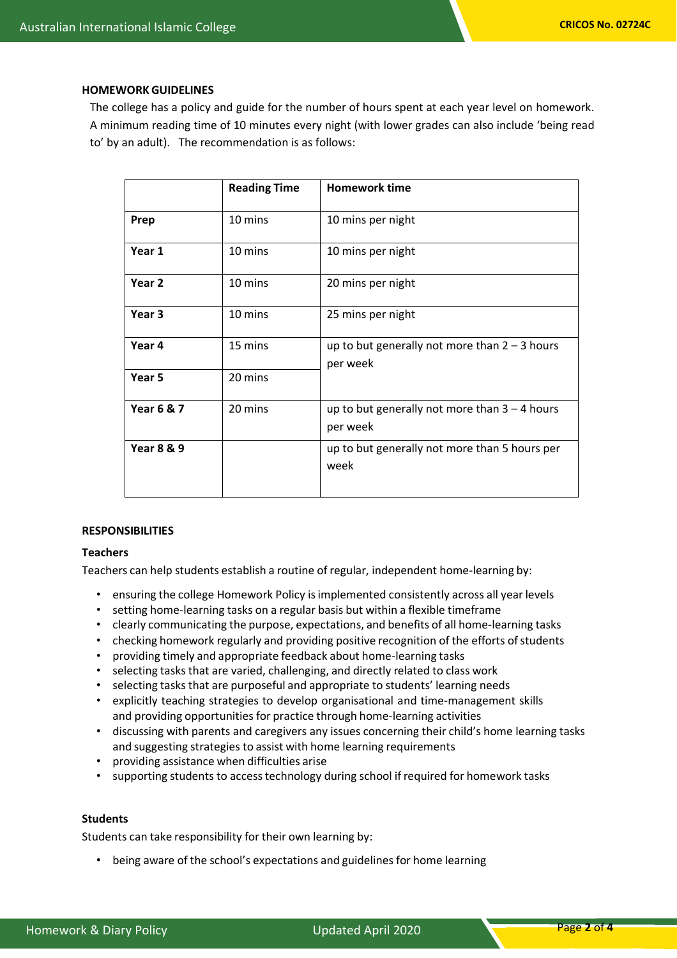## **HOMEWORKGUIDELINES**

The college has a policy and guide for the number of hours spent at each year level on homework. A minimum reading time of 10 minutes every night (with lower grades can also include 'being read to' by an adult). The recommendation is as follows:

|                       | <b>Reading Time</b> | <b>Homework time</b>                                        |
|-----------------------|---------------------|-------------------------------------------------------------|
| Prep                  | 10 mins             | 10 mins per night                                           |
| Year 1                | 10 mins             | 10 mins per night                                           |
| Year <sub>2</sub>     | 10 mins             | 20 mins per night                                           |
| Year <sub>3</sub>     | 10 mins             | 25 mins per night                                           |
| Year 4                | 15 mins             | up to but generally not more than $2 - 3$ hours<br>per week |
| Year 5                | 20 mins             |                                                             |
| <b>Year 6 &amp; 7</b> | 20 mins             | up to but generally not more than $3 - 4$ hours<br>per week |
| <b>Year 8 &amp; 9</b> |                     | up to but generally not more than 5 hours per<br>week       |

## **RESPONSIBILITIES**

### **Teachers**

Teachers can help students establish a routine of regular, independent home-learning by:

- ensuring the college Homework Policy isimplemented consistently across all year levels
- setting home-learning tasks on a regular basis but within a flexible timeframe
- clearly communicating the purpose, expectations, and benefits of all home-learning tasks
- checking homework regularly and providing positive recognition of the efforts of students
- providing timely and appropriate feedback about home-learning tasks
- selecting tasks that are varied, challenging, and directly related to class work
- selecting tasks that are purposeful and appropriate to students' learning needs
- explicitly teaching strategies to develop organisational and time-management skills and providing opportunities for practice through home-learning activities
- discussing with parents and caregivers any issues concerning their child's home learning tasks and suggesting strategies to assist with home learning requirements
- providing assistance when difficulties arise
- supporting students to access technology during school if required for homework tasks

#### **Students**

Students can take responsibility for their own learning by:

• being aware of the school's expectations and guidelines for home learning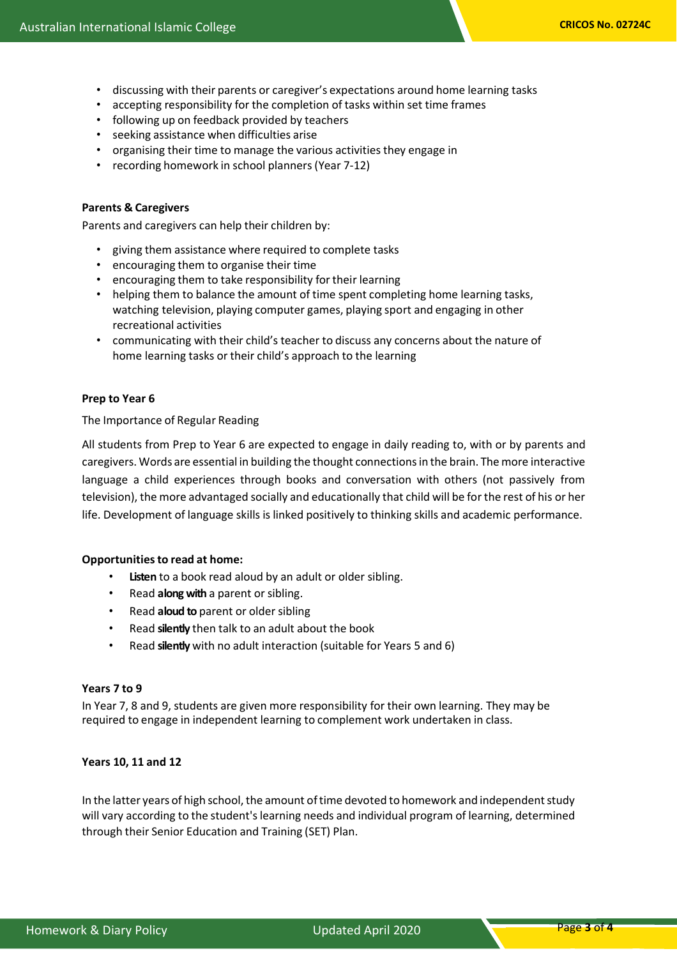- discussing with their parents or caregiver's expectations around home learning tasks
- accepting responsibility for the completion of tasks within set time frames
- following up on feedback provided by teachers
- seeking assistance when difficulties arise
- organising their time to manage the various activities they engage in
- recording homework in school planners(Year 7-12)

## **Parents & Caregivers**

Parents and caregivers can help their children by:

- giving them assistance where required to complete tasks
- encouraging them to organise their time
- encouraging them to take responsibility for their learning
- helping them to balance the amount of time spent completing home learning tasks, watching television, playing computer games, playing sport and engaging in other recreational activities
- communicating with their child's teacher to discuss any concerns about the nature of home learning tasks or their child's approach to the learning

## **Prep to Year 6**

The Importance of Regular Reading

All students from Prep to Year 6 are expected to engage in daily reading to, with or by parents and caregivers. Words are essential in building the thought connectionsin the brain. The more interactive language a child experiences through books and conversation with others (not passively from television), the more advantaged socially and educationally that child will be for the rest of his or her life. Development of language skills is linked positively to thinking skills and academic performance.

## **Opportunitiesto read at home:**

- Listen to a book read aloud by an adult or older sibling.
- Read **along with** a parent or sibling.
- Read **aloud to** parent or older sibling
- Read **silently** then talk to an adult about the book
- Read **silently** with no adult interaction (suitable for Years 5 and 6)

## **Years 7 to 9**

In Year 7, 8 and 9, students are given more responsibility for their own learning. They may be required to engage in independent learning to complement work undertaken in class.

## **Years 10, 11 and 12**

In the latter years of high school, the amount of time devoted to homework and independent study will vary according to the student'slearning needs and individual program of learning, determined through their Senior Education and Training (SET) Plan.